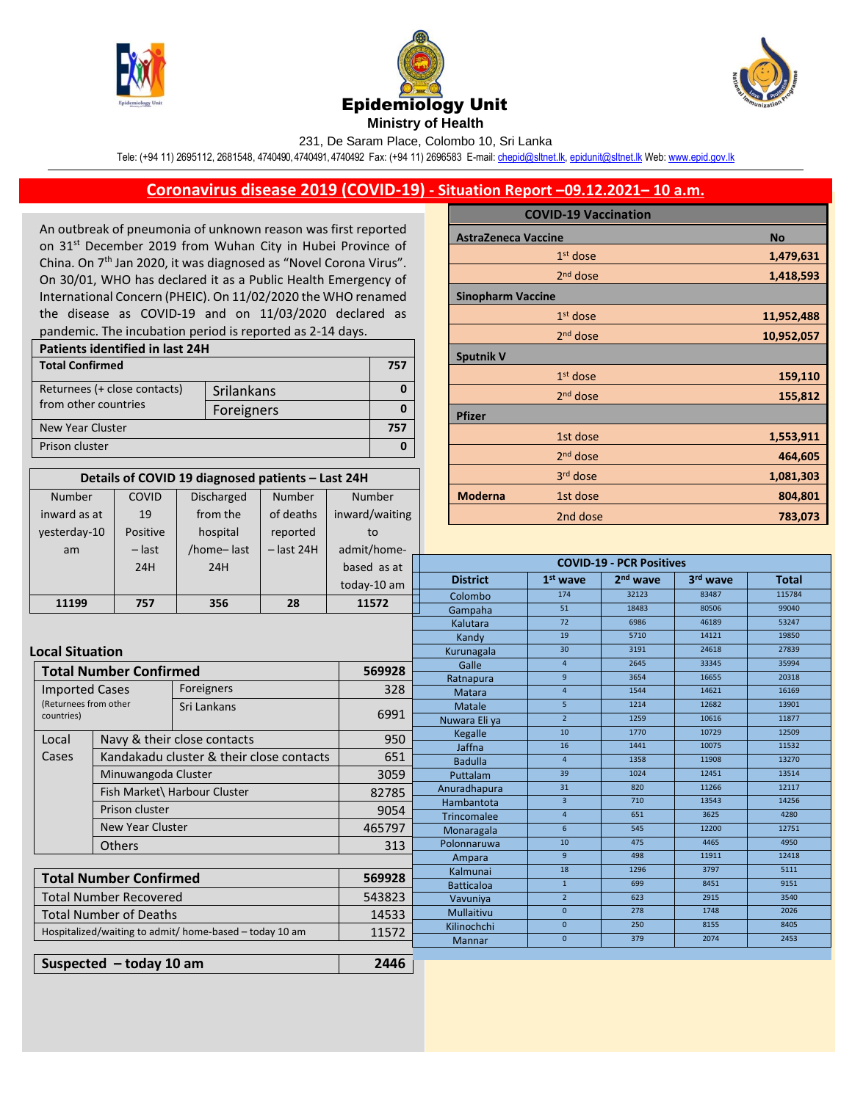

Number inward as at

COVID





231, De Saram Place, Colombo 10, Sri Lanka

Tele: (+94 11) 2695112, 2681548, 4740490, 4740491, 4740492 Fax: (+94 11) 2696583 E-mail[: chepid@sltnet.lk,](mailto:chepi@sltnet.lk) [epidunit@sltnet.lk](mailto:epidunit@sltnet.lk) Web[: www.epid.gov.lk](http://www.epid.gov.lk/)

## **Coronavirus disease 2019 (COVID-19) - Situation Report –09.12.2021– 10 a.m.**

An outbreak of pneumonia of unknown reason was first reported on 31<sup>st</sup> December 2019 from Wuhan City in Hubei Province of China. On 7<sup>th</sup> Jan 2020, it was diagnosed as "Novel Corona Virus". On 30/01, WHO has declared it as a Public Health Emergency of International Concern (PHEIC). On 11/02/2020 the WHO renamed the disease as COVID-19 and on 11/03/2020 declared as pandemic. The incubation period is reported as 2-14 days.

| Patients identified in last 24H |            |  |  |  |
|---------------------------------|------------|--|--|--|
| <b>Total Confirmed</b>          |            |  |  |  |
| Returnees (+ close contacts)    | Srilankans |  |  |  |
| from other countries            | Foreigners |  |  |  |
| New Year Cluster                |            |  |  |  |
| Prison cluster                  |            |  |  |  |

**Details of COVID 19 diagnosed patients – Last 24H**

Number of deaths

Number inward/waiting

Discharged from the

|                            | <b>COVID-19 Vaccination</b> |            |
|----------------------------|-----------------------------|------------|
| <b>AstraZeneca Vaccine</b> |                             | <b>No</b>  |
|                            | $1st$ dose                  | 1,479,631  |
|                            | $2nd$ dose                  | 1,418,593  |
| <b>Sinopharm Vaccine</b>   |                             |            |
|                            | $1st$ dose                  | 11,952,488 |
|                            | 2 <sup>nd</sup> dose        | 10,952,057 |
| <b>Sputnik V</b>           |                             |            |
|                            | $1st$ dose                  | 159,110    |
|                            | $2nd$ dose                  | 155,812    |
| <b>Pfizer</b>              |                             |            |
|                            | 1st dose                    | 1,553,911  |
|                            | 2 <sup>nd</sup> dose        | 464,605    |
|                            | 3rd dose                    | 1,081,303  |
| <b>Moderna</b>             | 1st dose                    | 804,801    |
|                            | $2nd$ doco                  | 702.072    |

| inward as at                                                     | 19                                                  | from the                    | of deaths    | inward/waiting    | 2nd dose                        |                      |                      | 783,073        |                |
|------------------------------------------------------------------|-----------------------------------------------------|-----------------------------|--------------|-------------------|---------------------------------|----------------------|----------------------|----------------|----------------|
| yesterday-10                                                     | Positive                                            | hospital                    | reported     | to                |                                 |                      |                      |                |                |
| am                                                               | $-$ last                                            | /home-last                  | $-$ last 24H | admit/home-       |                                 |                      |                      |                |                |
|                                                                  | 24H                                                 | 24H                         |              | based as at       | <b>COVID-19 - PCR Positives</b> |                      |                      |                |                |
|                                                                  |                                                     |                             |              | today-10 am       | <b>District</b>                 | $1st$ wave           | 2 <sup>nd</sup> wave | 3rd wave       | <b>Total</b>   |
|                                                                  |                                                     |                             |              |                   | Colombo                         | 174                  | 32123                | 83487          | 115784         |
| 11199                                                            | 757                                                 | 356                         | 28           | 11572             | Gampaha                         | 51                   | 18483                | 80506          | 99040          |
|                                                                  |                                                     |                             |              |                   | Kalutara                        | 72                   | 6986                 | 46189          | 53247          |
|                                                                  |                                                     |                             |              |                   | Kandy                           | 19                   | 5710                 | 14121          | 19850          |
|                                                                  | <b>Local Situation</b>                              |                             |              | Kurunagala        | 30                              | 3191                 | 24618                | 27839          |                |
|                                                                  | <b>Total Number Confirmed</b>                       |                             |              | 569928            | Galle                           | $\overline{4}$       | 2645                 | 33345          | 35994          |
|                                                                  |                                                     |                             |              |                   | Ratnapura                       | 9                    | 3654                 | 16655          | 20318          |
|                                                                  | Foreigners<br><b>Imported Cases</b>                 |                             | 328          | Matara            | $\overline{4}$                  | 1544                 | 14621                | 16169          |                |
| (Returnees from other<br>countries)                              |                                                     | Sri Lankans                 |              | 6991              | Matale                          | 5 <sup>1</sup>       | 1214                 | 12682          | 13901          |
|                                                                  |                                                     |                             |              |                   | Nuwara Eli ya                   | $\overline{2}$       | 1259                 | 10616          | 11877          |
| Local                                                            |                                                     | Navy & their close contacts |              | 950               | Kegalle                         | 10                   | 1770                 | 10729          | 12509          |
| Cases                                                            | Kandakadu cluster & their close contacts            |                             |              | 651               | Jaffna                          | 16                   | 1441<br>1358         | 10075<br>11908 | 11532<br>13270 |
|                                                                  |                                                     |                             |              |                   | <b>Badulla</b>                  | $\overline{4}$<br>39 | 1024                 | 12451          | 13514          |
|                                                                  | Minuwangoda Cluster<br>Fish Market\ Harbour Cluster |                             | 3059         | Puttalam          | 31                              | 820                  | 11266                | 12117          |                |
|                                                                  |                                                     |                             | 82785        | Anuradhapura      | $\overline{3}$                  | 710                  | 13543                | 14256          |                |
| Prison cluster                                                   |                                                     |                             |              | 9054              | Hambantota<br>Trincomalee       | $\overline{4}$       | 651                  | 3625           | 4280           |
|                                                                  | <b>New Year Cluster</b>                             |                             |              | 465797            | Monaragala                      | 6                    | 545                  | 12200          | 12751          |
|                                                                  | <b>Others</b>                                       |                             |              | 313               | Polonnaruwa                     | 10                   | 475                  | 4465           | 4950           |
|                                                                  |                                                     |                             |              |                   | Ampara                          | 9 <sup>°</sup>       | 498                  | 11911          | 12418          |
|                                                                  |                                                     |                             |              | Kalmunai          | 18                              | 1296                 | 3797                 | 5111           |                |
| <b>Total Number Confirmed</b><br>569928                          |                                                     | <b>Batticaloa</b>           | $\mathbf{1}$ | 699               | 8451                            | 9151                 |                      |                |                |
| <b>Total Number Recovered</b>                                    |                                                     | 543823                      | Vavuniya     | $\overline{2}$    | 623                             | 2915                 | 3540                 |                |                |
|                                                                  | <b>Total Number of Deaths</b><br>14533              |                             |              | <b>Mullaitivu</b> | $\mathbf{0}$                    | 278                  | 1748                 | 2026           |                |
| Hospitalized/waiting to admit/ home-based - today 10 am<br>11572 |                                                     | Kilinochchi                 | $\mathbf{0}$ | 250               | 8155                            | 8405                 |                      |                |                |
|                                                                  |                                                     | <b>Mannar</b>               | $\mathbf{0}$ | 379               | 2074                            | 2453                 |                      |                |                |
|                                                                  |                                                     |                             |              | 2446              |                                 |                      |                      |                |                |
| Suspected $-$ today 10 am                                        |                                                     |                             |              |                   |                                 |                      |                      |                |                |